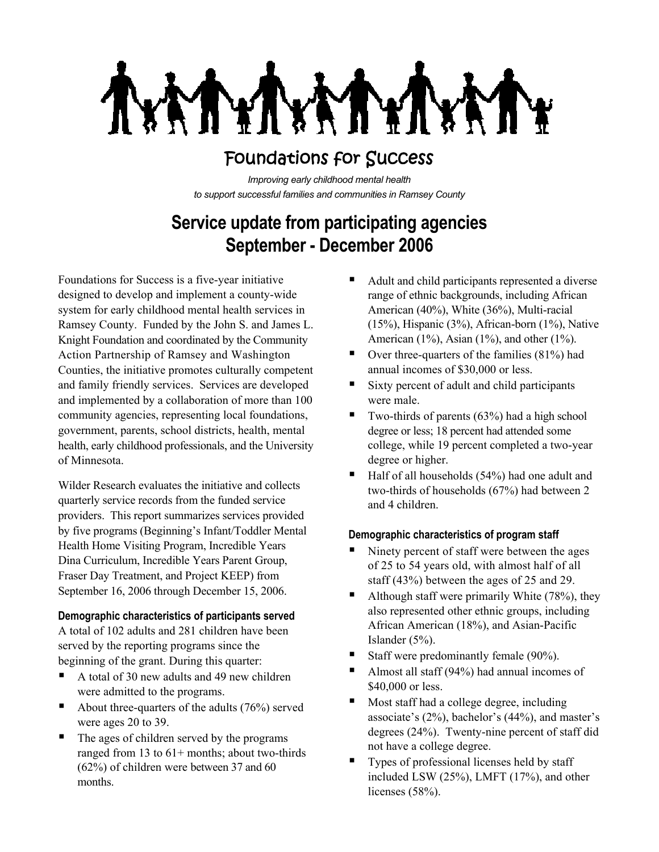**THE THE** 

# Foundations for Success

*Improving early childhood mental health to support successful families and communities in Ramsey County*

# **Service update from participating agencies September - December 2006**

Foundations for Success is a five-year initiative designed to develop and implement a county-wide system for early childhood mental health services in Ramsey County. Funded by the John S. and James L. Knight Foundation and coordinated by the Community Action Partnership of Ramsey and Washington Counties, the initiative promotes culturally competent and family friendly services. Services are developed and implemented by a collaboration of more than 100 community agencies, representing local foundations, government, parents, school districts, health, mental health, early childhood professionals, and the University of Minnesota.

Wilder Research evaluates the initiative and collects quarterly service records from the funded service providers. This report summarizes services provided by five programs (Beginning's Infant/Toddler Mental Health Home Visiting Program, Incredible Years Dina Curriculum, Incredible Years Parent Group, Fraser Day Treatment, and Project KEEP) from September 16, 2006 through December 15, 2006.

### **Demographic characteristics of participants served**

A total of 102 adults and 281 children have been served by the reporting programs since the beginning of the grant. During this quarter:

- A total of 30 new adults and 49 new children were admitted to the programs.
- About three-quarters of the adults  $(76%)$  served were ages 20 to 39.
- The ages of children served by the programs ranged from 13 to  $61+$  months; about two-thirds (62%) of children were between 37 and 60 months.
- Adult and child participants represented a diverse range of ethnic backgrounds, including African American (40%), White (36%), Multi-racial (15%), Hispanic (3%), African-born (1%), Native American  $(1\%)$ , Asian  $(1\%)$ , and other  $(1\%)$ .
- $\blacksquare$  Over three-quarters of the families (81%) had annual incomes of \$30,000 or less.
- Sixty percent of adult and child participants were male.
- $\blacksquare$  Two-thirds of parents (63%) had a high school degree or less; 18 percent had attended some college, while 19 percent completed a two-year degree or higher.
- $\blacksquare$  Half of all households (54%) had one adult and two-thirds of households (67%) had between 2 and 4 children.

## **Demographic characteristics of program staff**

- Ninety percent of staff were between the ages of 25 to 54 years old, with almost half of all staff (43%) between the ages of 25 and 29.
- Although staff were primarily White  $(78%)$ , they also represented other ethnic groups, including African American (18%), and Asian-Pacific Islander (5%).
- Staff were predominantly female (90%).
- Almost all staff (94%) had annual incomes of \$40,000 or less.
- Most staff had a college degree, including associate's (2%), bachelor's (44%), and master's degrees (24%). Twenty-nine percent of staff did not have a college degree.
- Types of professional licenses held by staff included LSW (25%), LMFT (17%), and other licenses (58%).